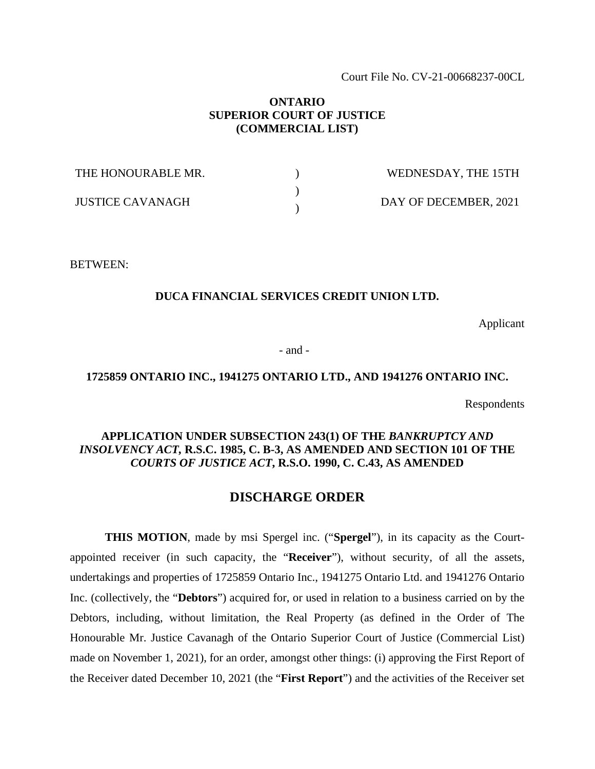Court File No. CV-21-00668237-00CL

# **ONTARIO SUPERIOR COURT OF JUSTICE (COMMERCIAL LIST)**

| THE HONOURABLE MR.      | WEDNESDAY, THE 15TH   |
|-------------------------|-----------------------|
| <b>JUSTICE CAVANAGH</b> | DAY OF DECEMBER, 2021 |

BETWEEN:

# **DUCA FINANCIAL SERVICES CREDIT UNION LTD.**

Applicant

- and -

## **1725859 ONTARIO INC., 1941275 ONTARIO LTD., AND 1941276 ONTARIO INC.**

Respondents

# **APPLICATION UNDER SUBSECTION 243(1) OF THE** *BANKRUPTCY AND INSOLVENCY ACT,* **R.S.C. 1985, C. B-3, AS AMENDED AND SECTION 101 OF THE**  *COURTS OF JUSTICE ACT***, R.S.O. 1990, C. C.43, AS AMENDED**

# **DISCHARGE ORDER**

**THIS MOTION**, made by msi Spergel inc. ("**Spergel**"), in its capacity as the Courtappointed receiver (in such capacity, the "**Receiver**"), without security, of all the assets, undertakings and properties of 1725859 Ontario Inc., 1941275 Ontario Ltd. and 1941276 Ontario Inc. (collectively, the "**Debtors**") acquired for, or used in relation to a business carried on by the Debtors, including, without limitation, the Real Property (as defined in the Order of The Honourable Mr. Justice Cavanagh of the Ontario Superior Court of Justice (Commercial List) made on November 1, 2021), for an order, amongst other things: (i) approving the First Report of the Receiver dated December 10, 2021 (the "**First Report**") and the activities of the Receiver set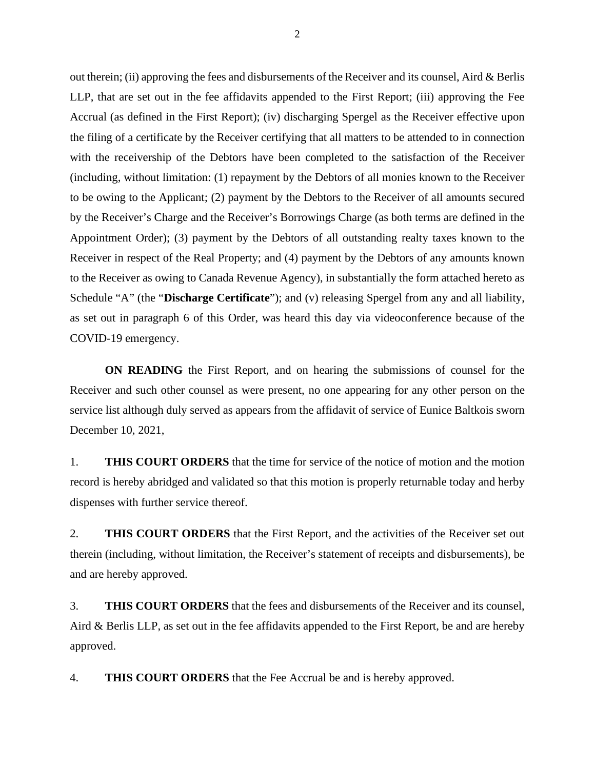out therein; (ii) approving the fees and disbursements of the Receiver and its counsel, Aird & Berlis LLP, that are set out in the fee affidavits appended to the First Report; (iii) approving the Fee Accrual (as defined in the First Report); (iv) discharging Spergel as the Receiver effective upon the filing of a certificate by the Receiver certifying that all matters to be attended to in connection with the receivership of the Debtors have been completed to the satisfaction of the Receiver (including, without limitation: (1) repayment by the Debtors of all monies known to the Receiver to be owing to the Applicant; (2) payment by the Debtors to the Receiver of all amounts secured by the Receiver's Charge and the Receiver's Borrowings Charge (as both terms are defined in the Appointment Order); (3) payment by the Debtors of all outstanding realty taxes known to the Receiver in respect of the Real Property; and (4) payment by the Debtors of any amounts known to the Receiver as owing to Canada Revenue Agency), in substantially the form attached hereto as Schedule "A" (the "**Discharge Certificate**"); and (v) releasing Spergel from any and all liability, as set out in paragraph 6 of this Order, was heard this day via videoconference because of the COVID-19 emergency.

**ON READING** the First Report, and on hearing the submissions of counsel for the Receiver and such other counsel as were present, no one appearing for any other person on the service list although duly served as appears from the affidavit of service of Eunice Baltkois sworn December 10, 2021,

1. **THIS COURT ORDERS** that the time for service of the notice of motion and the motion record is hereby abridged and validated so that this motion is properly returnable today and herby dispenses with further service thereof.

2. **THIS COURT ORDERS** that the First Report, and the activities of the Receiver set out therein (including, without limitation, the Receiver's statement of receipts and disbursements), be and are hereby approved.

3. **THIS COURT ORDERS** that the fees and disbursements of the Receiver and its counsel, Aird & Berlis LLP, as set out in the fee affidavits appended to the First Report, be and are hereby approved.

4. **THIS COURT ORDERS** that the Fee Accrual be and is hereby approved.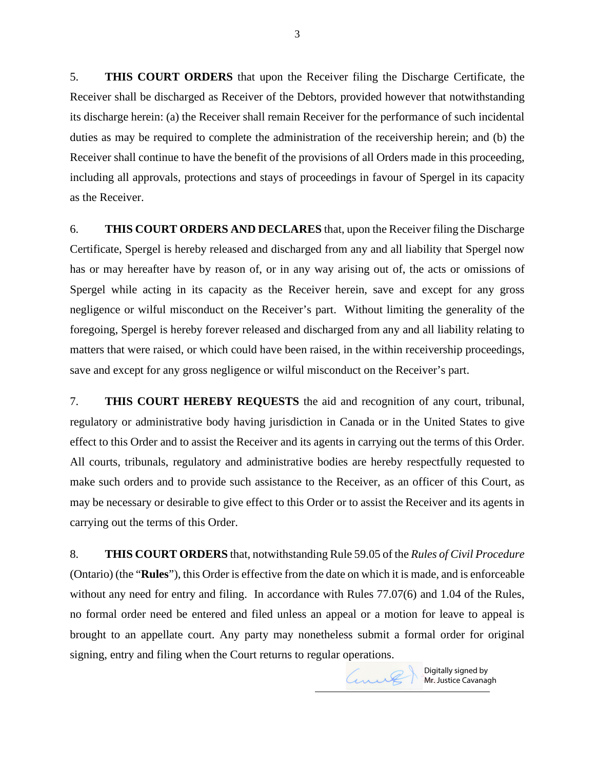5. **THIS COURT ORDERS** that upon the Receiver filing the Discharge Certificate, the Receiver shall be discharged as Receiver of the Debtors, provided however that notwithstanding its discharge herein: (a) the Receiver shall remain Receiver for the performance of such incidental duties as may be required to complete the administration of the receivership herein; and (b) the Receiver shall continue to have the benefit of the provisions of all Orders made in this proceeding, including all approvals, protections and stays of proceedings in favour of Spergel in its capacity as the Receiver.

6. **THIS COURT ORDERS AND DECLARES** that, upon the Receiver filing the Discharge Certificate, Spergel is hereby released and discharged from any and all liability that Spergel now has or may hereafter have by reason of, or in any way arising out of, the acts or omissions of Spergel while acting in its capacity as the Receiver herein, save and except for any gross negligence or wilful misconduct on the Receiver's part. Without limiting the generality of the foregoing, Spergel is hereby forever released and discharged from any and all liability relating to matters that were raised, or which could have been raised, in the within receivership proceedings, save and except for any gross negligence or wilful misconduct on the Receiver's part.

7. **THIS COURT HEREBY REQUESTS** the aid and recognition of any court, tribunal, regulatory or administrative body having jurisdiction in Canada or in the United States to give effect to this Order and to assist the Receiver and its agents in carrying out the terms of this Order. All courts, tribunals, regulatory and administrative bodies are hereby respectfully requested to make such orders and to provide such assistance to the Receiver, as an officer of this Court, as may be necessary or desirable to give effect to this Order or to assist the Receiver and its agents in carrying out the terms of this Order.

8. **THIS COURT ORDERS** that, notwithstanding Rule 59.05 of the *Rules of Civil Procedure* (Ontario) (the "**Rules**"), this Order is effective from the date on which it is made, and is enforceable without any need for entry and filing. In accordance with Rules 77.07(6) and 1.04 of the Rules, no formal order need be entered and filed unless an appeal or a motion for leave to appeal is brought to an appellate court. Any party may nonetheless submit a formal order for original signing, entry and filing when the Court returns to regular operations.



Digitally signed by **Mr. Justice Cavanagh** 

Curil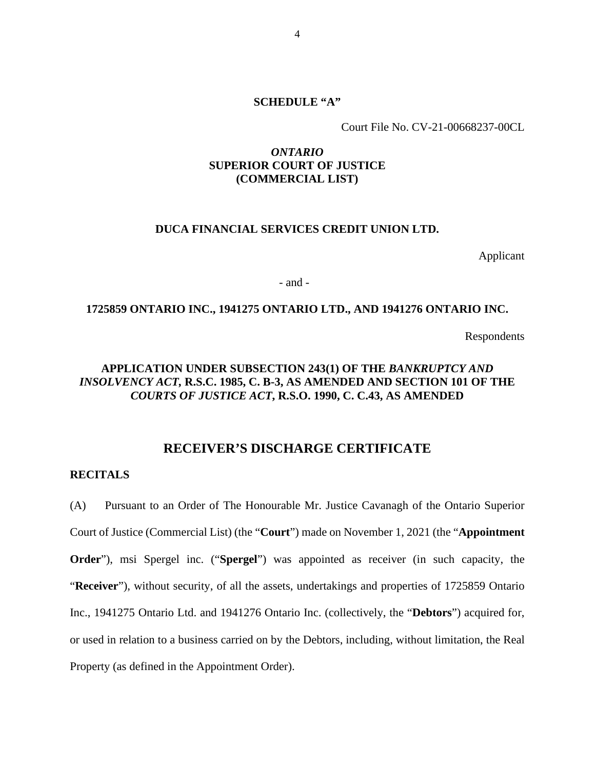## **SCHEDULE "A"**

Court File No. CV-21-00668237-00CL

# *ONTARIO*  **SUPERIOR COURT OF JUSTICE (COMMERCIAL LIST)**

## **DUCA FINANCIAL SERVICES CREDIT UNION LTD.**

Applicant

- and -

## **1725859 ONTARIO INC., 1941275 ONTARIO LTD., AND 1941276 ONTARIO INC.**

Respondents

# **APPLICATION UNDER SUBSECTION 243(1) OF THE** *BANKRUPTCY AND INSOLVENCY ACT,* **R.S.C. 1985, C. B-3, AS AMENDED AND SECTION 101 OF THE**  *COURTS OF JUSTICE ACT***, R.S.O. 1990, C. C.43, AS AMENDED**

# **RECEIVER'S DISCHARGE CERTIFICATE**

## **RECITALS**

(A) Pursuant to an Order of The Honourable Mr. Justice Cavanagh of the Ontario Superior Court of Justice (Commercial List) (the "**Court**") made on November 1, 2021 (the "**Appointment Order**"), msi Spergel inc. ("**Spergel**") was appointed as receiver (in such capacity, the "**Receiver**"), without security, of all the assets, undertakings and properties of 1725859 Ontario Inc., 1941275 Ontario Ltd. and 1941276 Ontario Inc. (collectively, the "**Debtors**") acquired for, or used in relation to a business carried on by the Debtors, including, without limitation, the Real Property (as defined in the Appointment Order).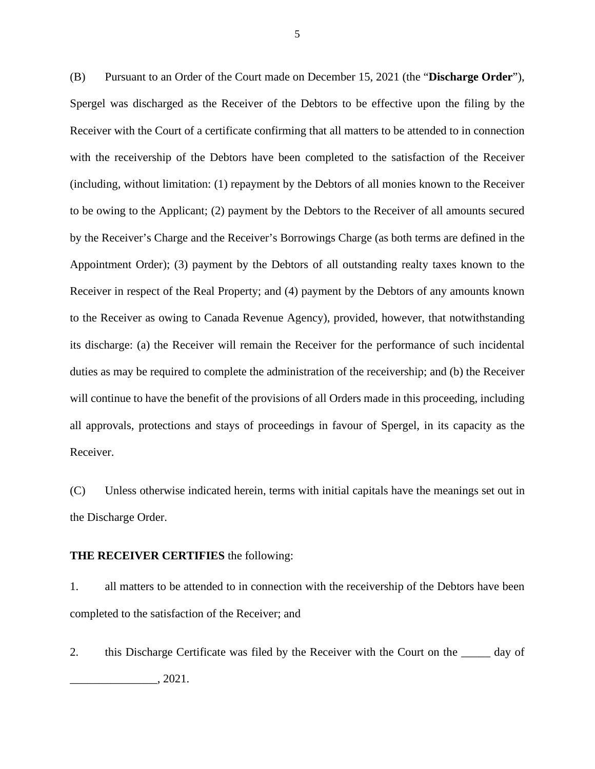(B) Pursuant to an Order of the Court made on December 15, 2021 (the "**Discharge Order**"), Spergel was discharged as the Receiver of the Debtors to be effective upon the filing by the Receiver with the Court of a certificate confirming that all matters to be attended to in connection with the receivership of the Debtors have been completed to the satisfaction of the Receiver (including, without limitation: (1) repayment by the Debtors of all monies known to the Receiver to be owing to the Applicant; (2) payment by the Debtors to the Receiver of all amounts secured by the Receiver's Charge and the Receiver's Borrowings Charge (as both terms are defined in the Appointment Order); (3) payment by the Debtors of all outstanding realty taxes known to the Receiver in respect of the Real Property; and (4) payment by the Debtors of any amounts known to the Receiver as owing to Canada Revenue Agency), provided, however, that notwithstanding its discharge: (a) the Receiver will remain the Receiver for the performance of such incidental duties as may be required to complete the administration of the receivership; and (b) the Receiver will continue to have the benefit of the provisions of all Orders made in this proceeding, including all approvals, protections and stays of proceedings in favour of Spergel, in its capacity as the Receiver.

(C) Unless otherwise indicated herein, terms with initial capitals have the meanings set out in the Discharge Order.

## **THE RECEIVER CERTIFIES** the following:

1. all matters to be attended to in connection with the receivership of the Debtors have been completed to the satisfaction of the Receiver; and

2. this Discharge Certificate was filed by the Receiver with the Court on the  $\qquad$  day of \_\_\_\_\_\_\_\_\_\_\_\_\_\_\_, 2021.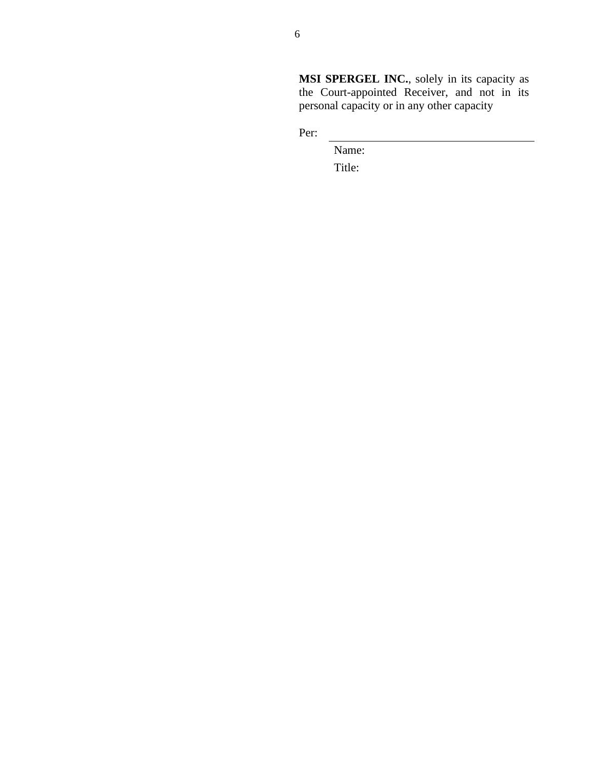**MSI SPERGEL INC.**, solely in its capacity as the Court-appointed Receiver, and not in its personal capacity or in any other capacity

Per:

Name: Title: